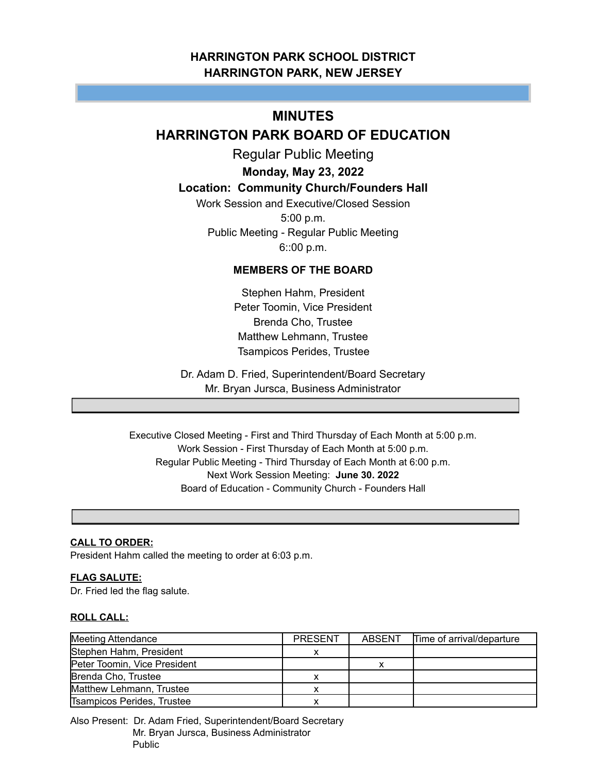# **HARRINGTON PARK SCHOOL DISTRICT HARRINGTON PARK, NEW JERSEY**

# **MINUTES**

# **HARRINGTON PARK BOARD OF EDUCATION**

Regular Public Meeting

# **Monday, May 23, 2022**

# **Location: Community Church/Founders Hall**

Work Session and Executive/Closed Session 5:00 p.m. Public Meeting - Regular Public Meeting 6::00 p.m.

# **MEMBERS OF THE BOARD**

Stephen Hahm, President Peter Toomin, Vice President Brenda Cho, Trustee Matthew Lehmann, Trustee Tsampicos Perides, Trustee

Dr. Adam D. Fried, Superintendent/Board Secretary Mr. Bryan Jursca, Business Administrator

Executive Closed Meeting - First and Third Thursday of Each Month at 5:00 p.m. Work Session - First Thursday of Each Month at 5:00 p.m. Regular Public Meeting - Third Thursday of Each Month at 6:00 p.m. Next Work Session Meeting: **June 30. 2022** Board of Education - Community Church - Founders Hall

# **CALL TO ORDER:**

President Hahm called the meeting to order at 6:03 p.m.

## **FLAG SALUTE:**

Dr. Fried led the flag salute.

## **ROLL CALL:**

| <b>Meeting Attendance</b>    | <b>PRESENT</b> | <b>ABSENT</b> | Time of arrival/departure |
|------------------------------|----------------|---------------|---------------------------|
| Stephen Hahm, President      |                |               |                           |
| Peter Toomin, Vice President |                |               |                           |
| Brenda Cho, Trustee          |                |               |                           |
| Matthew Lehmann, Trustee     |                |               |                           |
| Tsampicos Perides, Trustee   |                |               |                           |

Also Present: Dr. Adam Fried, Superintendent/Board Secretary Mr. Bryan Jursca, Business Administrator Public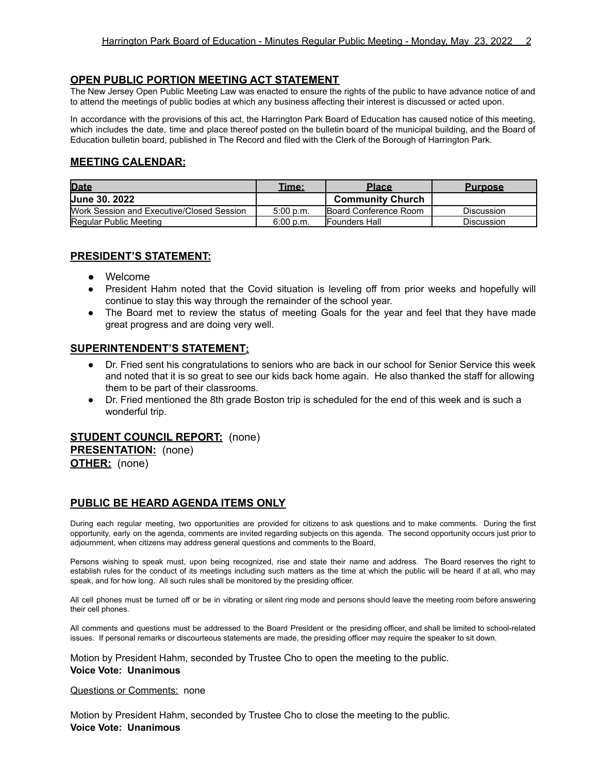## **OPEN PUBLIC PORTION MEETING ACT STATEMENT**

The New Jersey Open Public Meeting Law was enacted to ensure the rights of the public to have advance notice of and to attend the meetings of public bodies at which any business affecting their interest is discussed or acted upon.

In accordance with the provisions of this act, the Harrington Park Board of Education has caused notice of this meeting, which includes the date, time and place thereof posted on the bulletin board of the municipal building, and the Board of Education bulletin board, published in The Record and filed with the Clerk of the Borough of Harrington Park.

# **MEETING CALENDAR:**

| <b>Date</b>                               | Time:     | <b>Place</b>                  | <b>Purpose</b>    |
|-------------------------------------------|-----------|-------------------------------|-------------------|
| <b>Uune 30, 2022</b>                      |           | <b>Community Church</b>       |                   |
| Work Session and Executive/Closed Session | 5:00 p.m. | <b>IBoard Conference Room</b> | <b>Discussion</b> |
| Regular Public Meeting                    | 6:00 p.m. | <b>IFounders Hall</b>         | <b>Discussion</b> |

## **PRESIDENT'S STATEMENT:**

- **●** Welcome
- President Hahm noted that the Covid situation is leveling off from prior weeks and hopefully will continue to stay this way through the remainder of the school year.
- The Board met to review the status of meeting Goals for the year and feel that they have made great progress and are doing very well.

## **SUPERINTENDENT'S STATEMENT:**

- Dr. Fried sent his congratulations to seniors who are back in our school for Senior Service this week and noted that it is so great to see our kids back home again. He also thanked the staff for allowing them to be part of their classrooms.
- Dr. Fried mentioned the 8th grade Boston trip is scheduled for the end of this week and is such a wonderful trip.

# **STUDENT COUNCIL REPORT:** (none)

**PRESENTATION:** (none) **OTHER:** (none)

## **PUBLIC BE HEARD AGENDA ITEMS ONLY**

During each regular meeting, two opportunities are provided for citizens to ask questions and to make comments. During the first opportunity, early on the agenda, comments are invited regarding subjects on this agenda. The second opportunity occurs just prior to adjournment, when citizens may address general questions and comments to the Board,

Persons wishing to speak must, upon being recognized, rise and state their name and address. The Board reserves the right to establish rules for the conduct of its meetings including such matters as the time at which the public will be heard if at all, who may speak, and for how long. All such rules shall be monitored by the presiding officer.

All cell phones must be turned off or be in vibrating or silent ring mode and persons should leave the meeting room before answering their cell phones.

All comments and questions must be addressed to the Board President or the presiding officer, and shall be limited to school-related issues. If personal remarks or discourteous statements are made, the presiding officer may require the speaker to sit down.

Motion by President Hahm, seconded by Trustee Cho to open the meeting to the public.

#### **Voice Vote: Unanimous**

Questions or Comments: none

Motion by President Hahm, seconded by Trustee Cho to close the meeting to the public. **Voice Vote: Unanimous**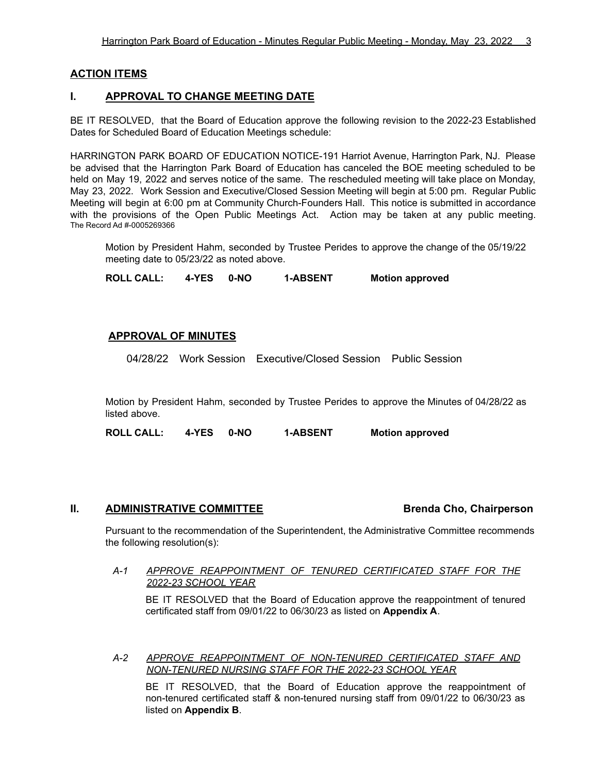# **ACTION ITEMS**

# **I. APPROVAL TO CHANGE MEETING DATE**

BE IT RESOLVED, that the Board of Education approve the following revision to the 2022-23 Established Dates for Scheduled Board of Education Meetings schedule:

HARRINGTON PARK BOARD OF EDUCATION NOTICE-191 Harriot Avenue, Harrington Park, NJ. Please be advised that the Harrington Park Board of Education has canceled the BOE meeting scheduled to be held on May 19, 2022 and serves notice of the same. The rescheduled meeting will take place on Monday, May 23, 2022. Work Session and Executive/Closed Session Meeting will begin at 5:00 pm. Regular Public Meeting will begin at 6:00 pm at Community Church-Founders Hall. This notice is submitted in accordance with the provisions of the Open Public Meetings Act. Action may be taken at any public meeting. The Record Ad #-0005269366

Motion by President Hahm, seconded by Trustee Perides to approve the change of the 05/19/22 meeting date to 05/23/22 as noted above.

**ROLL CALL: 4-YES 0-NO 1-ABSENT Motion approved**

# **APPROVAL OF MINUTES**

04/28/22 Work Session Executive/Closed Session Public Session

Motion by President Hahm, seconded by Trustee Perides to approve the Minutes of 04/28/22 as listed above.

**ROLL CALL: 4-YES 0-NO 1-ABSENT Motion approved**

## **II. ADMINISTRATIVE COMMITTEE Brenda Cho, Chairperson**

Pursuant to the recommendation of the Superintendent, the Administrative Committee recommends the following resolution(s):

#### *A-1 APPROVE REAPPOINTMENT OF TENURED CERTIFICATED STAFF FOR THE 2022-23 SCHOOL YEAR*

BE IT RESOLVED that the Board of Education approve the reappointment of tenured certificated staff from 09/01/22 to 06/30/23 as listed on **Appendix A**.

*A-2 APPROVE REAPPOINTMENT OF NON-TENURED CERTIFICATED STAFF AND NON-TENURED NURSING STAFF FOR THE 2022-23 SCHOOL YEAR*

BE IT RESOLVED, that the Board of Education approve the reappointment of non-tenured certificated staff & non-tenured nursing staff from 09/01/22 to 06/30/23 as listed on **Appendix B**.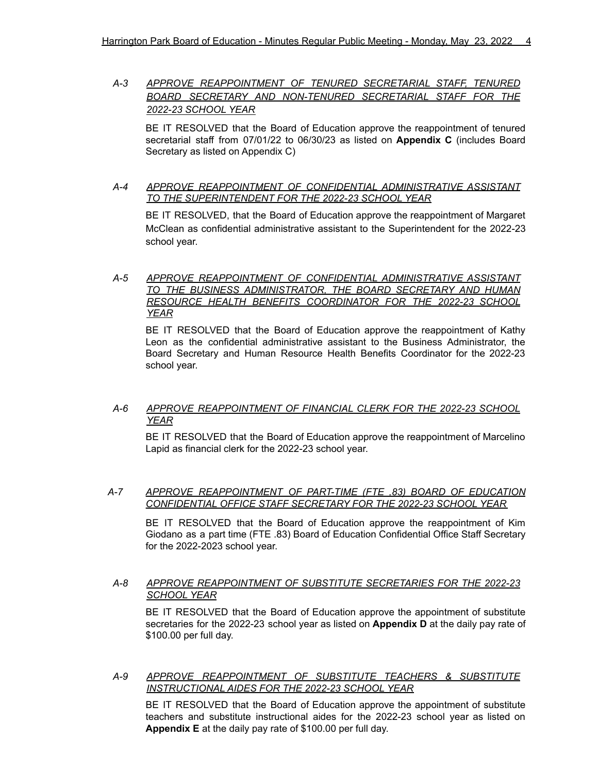# *A-3 APPROVE REAPPOINTMENT OF TENURED SECRETARIAL STAFF, TENURED BOARD SECRETARY AND NON-TENURED SECRETARIAL STAFF FOR THE 2022-23 SCHOOL YEAR*

BE IT RESOLVED that the Board of Education approve the reappointment of tenured secretarial staff from 07/01/22 to 06/30/23 as listed on **Appendix C** (includes Board Secretary as listed on Appendix C)

### *A-4 APPROVE REAPPOINTMENT OF CONFIDENTIAL ADMINISTRATIVE ASSISTANT TO THE SUPERINTENDENT FOR THE 2022-23 SCHOOL YEAR*

BE IT RESOLVED, that the Board of Education approve the reappointment of Margaret McClean as confidential administrative assistant to the Superintendent for the 2022-23 school year.

## *A-5 APPROVE REAPPOINTMENT OF CONFIDENTIAL ADMINISTRATIVE ASSISTANT TO THE BUSINESS ADMINISTRATOR, THE BOARD SECRETARY AND HUMAN RESOURCE HEALTH BENEFITS COORDINATOR FOR THE 2022-23 SCHOOL YEAR*

BE IT RESOLVED that the Board of Education approve the reappointment of Kathy Leon as the confidential administrative assistant to the Business Administrator, the Board Secretary and Human Resource Health Benefits Coordinator for the 2022-23 school year.

# *A-6 APPROVE REAPPOINTMENT OF FINANCIAL CLERK FOR THE 2022-23 SCHOOL YEAR*

BE IT RESOLVED that the Board of Education approve the reappointment of Marcelino Lapid as financial clerk for the 2022-23 school year.

#### *A-7 APPROVE REAPPOINTMENT OF PART-TIME (FTE ,83) BOARD OF EDUCATION CONFIDENTIAL OFFICE STAFF SECRETARY FOR THE 2022-23 SCHOOL YEAR*

BE IT RESOLVED that the Board of Education approve the reappointment of Kim Giodano as a part time (FTE .83) Board of Education Confidential Office Staff Secretary for the 2022-2023 school year.

## *A-8 APPROVE REAPPOINTMENT OF SUBSTITUTE SECRETARIES FOR THE 2022-23 SCHOOL YEAR*

BE IT RESOLVED that the Board of Education approve the appointment of substitute secretaries for the 2022-23 school year as listed on **Appendix D** at the daily pay rate of \$100.00 per full day.

*A-9 APPROVE REAPPOINTMENT OF SUBSTITUTE TEACHERS & SUBSTITUTE INSTRUCTIONAL AIDES FOR THE 2022-23 SCHOOL YEAR*

BE IT RESOLVED that the Board of Education approve the appointment of substitute teachers and substitute instructional aides for the 2022-23 school year as listed on **Appendix E** at the daily pay rate of \$100.00 per full day.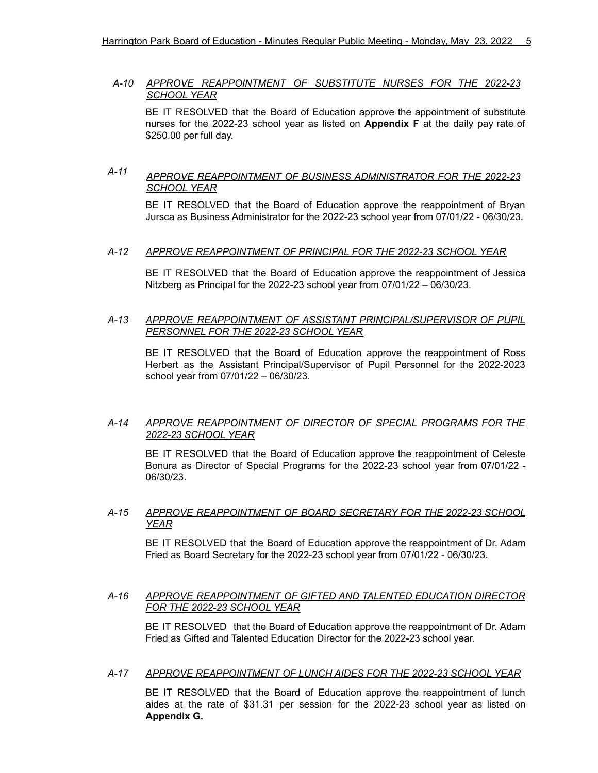## *A-10 APPROVE REAPPOINTMENT OF SUBSTITUTE NURSES FOR THE 2022-23 SCHOOL YEAR*

BE IT RESOLVED that the Board of Education approve the appointment of substitute nurses for the 2022-23 school year as listed on **Appendix F** at the daily pay rate of \$250.00 per full day.

# *A-11 APPROVE REAPPOINTMENT OF BUSINESS ADMINISTRATOR FOR THE 2022-23 SCHOOL YEAR*

BE IT RESOLVED that the Board of Education approve the reappointment of Bryan Jursca as Business Administrator for the 2022-23 school year from 07/01/22 - 06/30/23.

#### *A-12 APPROVE REAPPOINTMENT OF PRINCIPAL FOR THE 2022-23 SCHOOL YEAR*

BE IT RESOLVED that the Board of Education approve the reappointment of Jessica Nitzberg as Principal for the 2022-23 school year from 07/01/22 – 06/30/23.

#### *A-13 APPROVE REAPPOINTMENT OF ASSISTANT PRINCIPAL/SUPERVISOR OF PUPIL PERSONNEL FOR THE 2022-23 SCHOOL YEAR*

BE IT RESOLVED that the Board of Education approve the reappointment of Ross Herbert as the Assistant Principal/Supervisor of Pupil Personnel for the 2022-2023 school year from 07/01/22 – 06/30/23.

### *A-14 APPROVE REAPPOINTMENT OF DIRECTOR OF SPECIAL PROGRAMS FOR THE 2022-23 SCHOOL YEAR*

BE IT RESOLVED that the Board of Education approve the reappointment of Celeste Bonura as Director of Special Programs for the 2022-23 school year from 07/01/22 - 06/30/23.

## *A-15 APPROVE REAPPOINTMENT OF BOARD SECRETARY FOR THE 2022-23 SCHOOL YEAR*

BE IT RESOLVED that the Board of Education approve the reappointment of Dr. Adam Fried as Board Secretary for the 2022-23 school year from 07/01/22 - 06/30/23.

#### *A-16 APPROVE REAPPOINTMENT OF GIFTED AND TALENTED EDUCATION DIRECTOR FOR THE 2022-23 SCHOOL YEAR*

BE IT RESOLVED that the Board of Education approve the reappointment of Dr. Adam Fried as Gifted and Talented Education Director for the 2022-23 school year.

#### *A-17 APPROVE REAPPOINTMENT OF LUNCH AIDES FOR THE 2022-23 SCHOOL YEAR*

BE IT RESOLVED that the Board of Education approve the reappointment of lunch aides at the rate of \$31.31 per session for the 2022-23 school year as listed on **Appendix G.**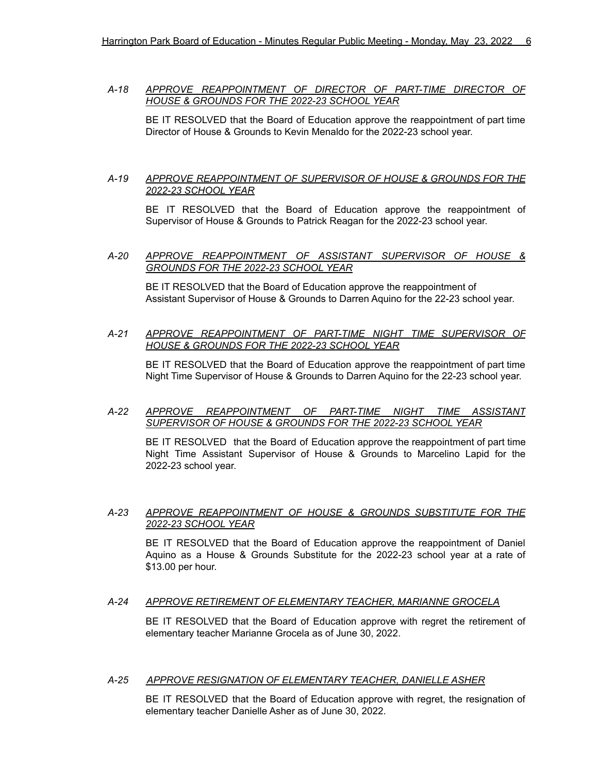*A-18 APPROVE REAPPOINTMENT OF DIRECTOR OF PART-TIME DIRECTOR OF HOUSE & GROUNDS FOR THE 2022-23 SCHOOL YEAR*

BE IT RESOLVED that the Board of Education approve the reappointment of part time Director of House & Grounds to Kevin Menaldo for the 2022-23 school year.

#### *A-19 APPROVE REAPPOINTMENT OF SUPERVISOR OF HOUSE & GROUNDS FOR THE 2022-23 SCHOOL YEAR*

BE IT RESOLVED that the Board of Education approve the reappointment of Supervisor of House & Grounds to Patrick Reagan for the 2022-23 school year.

#### *A-20 APPROVE REAPPOINTMENT OF ASSISTANT SUPERVISOR OF HOUSE & GROUNDS FOR THE 2022-23 SCHOOL YEAR*

BE IT RESOLVED that the Board of Education approve the reappointment of Assistant Supervisor of House & Grounds to Darren Aquino for the 22-23 school year.

#### *A-21 APPROVE REAPPOINTMENT OF PART-TIME NIGHT TIME SUPERVISOR OF HOUSE & GROUNDS FOR THE 2022-23 SCHOOL YEAR*

BE IT RESOLVED that the Board of Education approve the reappointment of part time Night Time Supervisor of House & Grounds to Darren Aquino for the 22-23 school year.

#### *A-22 APPROVE REAPPOINTMENT OF PART-TIME NIGHT TIME ASSISTANT SUPERVISOR OF HOUSE & GROUNDS FOR THE 2022-23 SCHOOL YEAR*

BE IT RESOLVED that the Board of Education approve the reappointment of part time Night Time Assistant Supervisor of House & Grounds to Marcelino Lapid for the 2022-23 school year.

#### *A-23 APPROVE REAPPOINTMENT OF HOUSE & GROUNDS SUBSTITUTE FOR THE 2022-23 SCHOOL YEAR*

BE IT RESOLVED that the Board of Education approve the reappointment of Daniel Aquino as a House & Grounds Substitute for the 2022-23 school year at a rate of \$13.00 per hour.

#### *A-24 APPROVE RETIREMENT OF ELEMENTARY TEACHER, MARIANNE GROCELA*

BE IT RESOLVED that the Board of Education approve with regret the retirement of elementary teacher Marianne Grocela as of June 30, 2022.

#### *A-25 APPROVE RESIGNATION OF ELEMENTARY TEACHER, DANIELLE ASHER*

BE IT RESOLVED that the Board of Education approve with regret, the resignation of elementary teacher Danielle Asher as of June 30, 2022.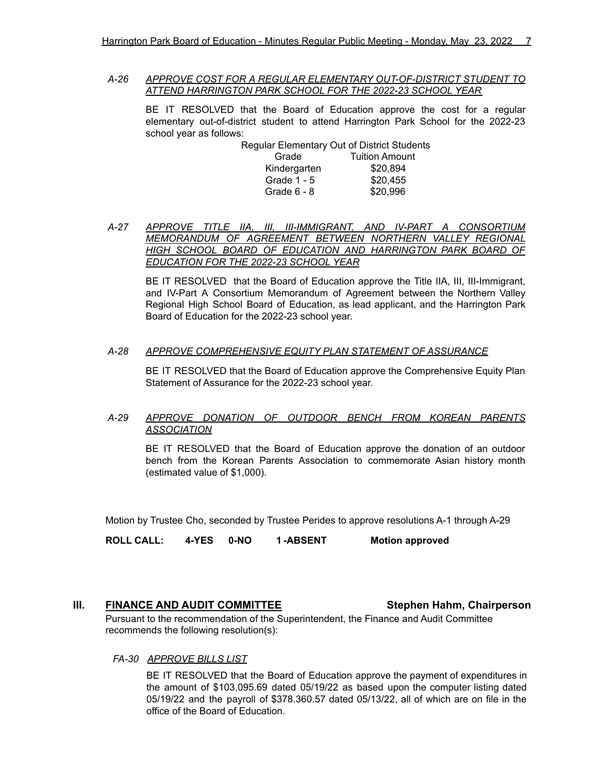*A-26 APPROVE COST FOR A REGULAR ELEMENTARY OUT-OF-DISTRICT STUDENT TO ATTEND HARRINGTON PARK SCHOOL FOR THE 2022-23 SCHOOL YEAR*

BE IT RESOLVED that the Board of Education approve the cost for a regular elementary out-of-district student to attend Harrington Park School for the 2022-23 school year as follows:

> Regular Elementary Out of District Students Grade Tuition Amount Kindergarten \$20,894 Grade 1 - 5 \$20,455 Grade 6 - 8 \$20,996

*A-27 APPROVE TITLE IIA, III, III-IMMIGRANT, AND IV-PART A CONSORTIUM MEMORANDUM OF AGREEMENT BETWEEN NORTHERN VALLEY REGIONAL HIGH SCHOOL BOARD OF EDUCATION AND HARRINGTON PARK BOARD OF EDUCATION FOR THE 2022-23 SCHOOL YEAR*

BE IT RESOLVED that the Board of Education approve the Title IIA, III, III-Immigrant, and IV-Part A Consortium Memorandum of Agreement between the Northern Valley Regional High School Board of Education, as lead applicant, and the Harrington Park Board of Education for the 2022-23 school year.

#### *A-28 APPROVE COMPREHENSIVE EQUITY PLAN STATEMENT OF ASSURANCE*

BE IT RESOLVED that the Board of Education approve the Comprehensive Equity Plan Statement of Assurance for the 2022-23 school year.

#### *A-29 APPROVE DONATION OF OUTDOOR BENCH FROM KOREAN PARENTS ASSOCIATION*

BE IT RESOLVED that the Board of Education approve the donation of an outdoor bench from the Korean Parents Association to commemorate Asian history month (estimated value of \$1,000).

Motion by Trustee Cho, seconded by Trustee Perides to approve resolutions A-1 through A-29

**ROLL CALL: 4-YES 0-NO 1 -ABSENT Motion approved**

#### **III. FINANCE AND AUDIT COMMITTEE Stephen Hahm, Chairperson**

Pursuant to the recommendation of the Superintendent, the Finance and Audit Committee recommends the following resolution(s):

*FA-30 APPROVE BILLS LIST*

BE IT RESOLVED that the Board of Education approve the payment of expenditures in the amount of \$103,095.69 dated 05/19/22 as based upon the computer listing dated 05/19/22 and the payroll of \$378.360.57 dated 05/13/22, all of which are on file in the office of the Board of Education.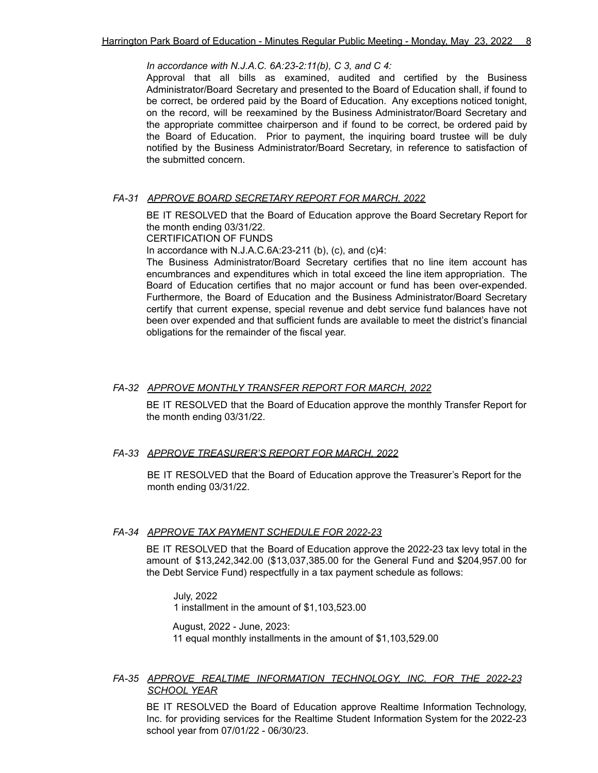*In accordance with N.J.A.C. 6A:23-2:11(b), C 3, and C 4:*

Approval that all bills as examined, audited and certified by the Business Administrator/Board Secretary and presented to the Board of Education shall, if found to be correct, be ordered paid by the Board of Education. Any exceptions noticed tonight, on the record, will be reexamined by the Business Administrator/Board Secretary and the appropriate committee chairperson and if found to be correct, be ordered paid by the Board of Education. Prior to payment, the inquiring board trustee will be duly notified by the Business Administrator/Board Secretary, in reference to satisfaction of the submitted concern.

#### *FA-31 APPROVE BOARD SECRETARY REPORT FOR MARCH, 2022*

BE IT RESOLVED that the Board of Education approve the Board Secretary Report for the month ending 03/31/22.

CERTIFICATION OF FUNDS

In accordance with N.J.A.C.6A:23-211 (b), (c), and (c)4:

The Business Administrator/Board Secretary certifies that no line item account has encumbrances and expenditures which in total exceed the line item appropriation. The Board of Education certifies that no major account or fund has been over-expended. Furthermore, the Board of Education and the Business Administrator/Board Secretary certify that current expense, special revenue and debt service fund balances have not been over expended and that sufficient funds are available to meet the district's financial obligations for the remainder of the fiscal year.

#### *FA-32 APPROVE MONTHLY TRANSFER REPORT FOR MARCH, 2022*

BE IT RESOLVED that the Board of Education approve the monthly Transfer Report for the month ending 03/31/22.

#### *FA-33 APPROVE TREASURER'S REPORT FOR MARCH, 2022*

BE IT RESOLVED that the Board of Education approve the Treasurer's Report for the month ending 03/31/22.

#### *FA-34 APPROVE TAX PAYMENT SCHEDULE FOR 2022-23*

BE IT RESOLVED that the Board of Education approve the 2022-23 tax levy total in the amount of \$13,242,342.00 (\$13,037,385.00 for the General Fund and \$204,957.00 for the Debt Service Fund) respectfully in a tax payment schedule as follows:

July, 2022

1 installment in the amount of \$1,103,523.00

August, 2022 - June, 2023: 11 equal monthly installments in the amount of \$1,103,529.00

#### *FA-35 APPROVE REALTIME INFORMATION TECHNOLOGY, INC. FOR THE 2022-23 SCHOOL YEAR*

BE IT RESOLVED the Board of Education approve Realtime Information Technology, Inc. for providing services for the Realtime Student Information System for the 2022-23 school year from 07/01/22 - 06/30/23.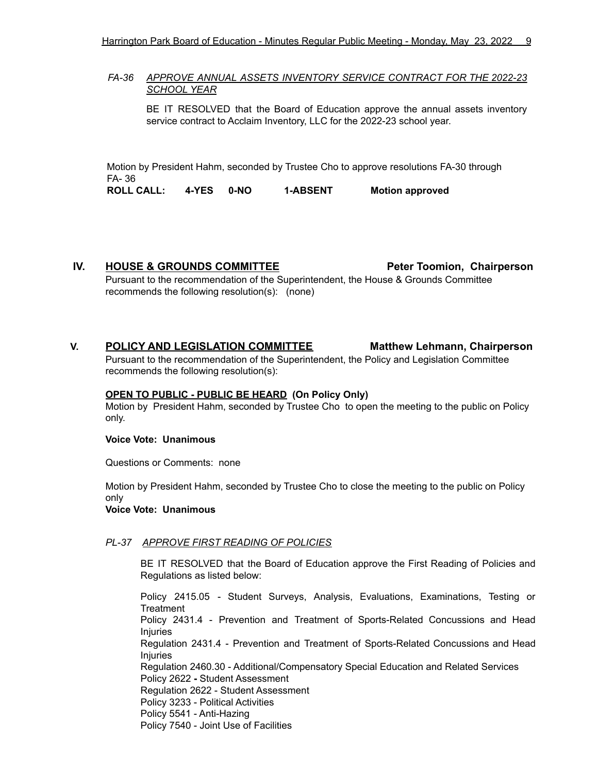### *FA-36 APPROVE ANNUAL ASSETS INVENTORY SERVICE CONTRACT FOR THE 2022-23 SCHOOL YEAR*

BE IT RESOLVED that the Board of Education approve the annual assets inventory service contract to Acclaim Inventory, LLC for the 2022-23 school year.

Motion by President Hahm, seconded by Trustee Cho to approve resolutions FA-30 through FA- 36 **ROLL CALL: 4-YES 0-NO 1-ABSENT Motion approved**

**IV. HOUSE & GROUNDS COMMITTEE Peter Toomion, Chairperson**

Pursuant to the recommendation of the Superintendent, the House & Grounds Committee recommends the following resolution(s): (none)

# **V. POLICY AND LEGISLATION COMMITTEE Matthew Lehmann, Chairperson**

Pursuant to the recommendation of the Superintendent, the Policy and Legislation Committee recommends the following resolution(s):

#### **OPEN TO PUBLIC - PUBLIC BE HEARD (On Policy Only)**

Motion by President Hahm, seconded by Trustee Cho to open the meeting to the public on Policy only.

#### **Voice Vote: Unanimous**

Questions or Comments: none

Motion by President Hahm, seconded by Trustee Cho to close the meeting to the public on Policy only

#### **Voice Vote: Unanimous**

#### *PL-37 APPROVE FIRST READING OF POLICIES*

BE IT RESOLVED that the Board of Education approve the First Reading of Policies and Regulations as listed below:

Policy 2415.05 - Student Surveys, Analysis, Evaluations, Examinations, Testing or **Treatment** Policy 2431.4 - Prevention and Treatment of Sports-Related Concussions and Head Injuries Regulation 2431.4 - Prevention and Treatment of Sports-Related Concussions and Head Injuries Regulation 2460.30 - Additional/Compensatory Special Education and Related Services Policy 2622 **-** Student Assessment Regulation 2622 - Student Assessment Policy 3233 - Political Activities Policy 5541 - Anti-Hazing Policy 7540 - Joint Use of Facilities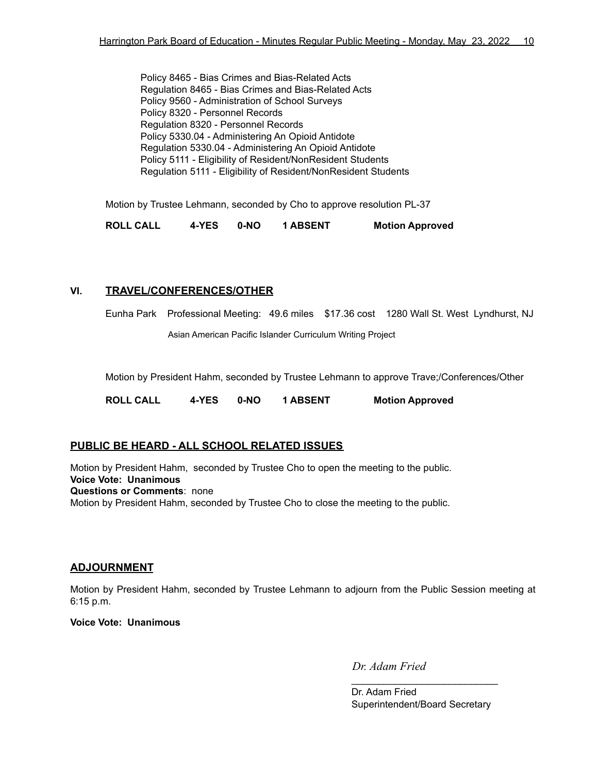Policy 8465 - Bias Crimes and Bias-Related Acts Regulation 8465 - Bias Crimes and Bias-Related Acts Policy 9560 - Administration of School Surveys Policy 8320 - Personnel Records Regulation 8320 - Personnel Records Policy 5330.04 - Administering An Opioid Antidote Regulation 5330.04 - Administering An Opioid Antidote Policy 5111 - Eligibility of Resident/NonResident Students Regulation 5111 - Eligibility of Resident/NonResident Students

Motion by Trustee Lehmann, seconded by Cho to approve resolution PL-37

**ROLL CALL 4-YES 0-NO 1 ABSENT Motion Approved**

# **VI. TRAVEL/CONFERENCES/OTHER**

Eunha Park Professional Meeting: 49.6 miles \$17.36 cost 1280 Wall St. West Lyndhurst, NJ

Asian American Pacific Islander Curriculum Writing Project

Motion by President Hahm, seconded by Trustee Lehmann to approve Trave;/Conferences/Other

**ROLL CALL 4-YES 0-NO 1 ABSENT Motion Approved**

# **PUBLIC BE HEARD - ALL SCHOOL RELATED ISSUES**

Motion by President Hahm, seconded by Trustee Cho to open the meeting to the public. **Voice Vote: Unanimous Questions or Comments**: none Motion by President Hahm, seconded by Trustee Cho to close the meeting to the public.

## **ADJOURNMENT**

Motion by President Hahm, seconded by Trustee Lehmann to adjourn from the Public Session meeting at 6:15 p.m.

**Voice Vote: Unanimous**

*Dr. Adam Fried*

Dr. Adam Fried Superintendent/Board Secretary

 $\overline{\phantom{a}}$  , which is a set of the set of the set of the set of the set of the set of the set of the set of the set of the set of the set of the set of the set of the set of the set of the set of the set of the set of th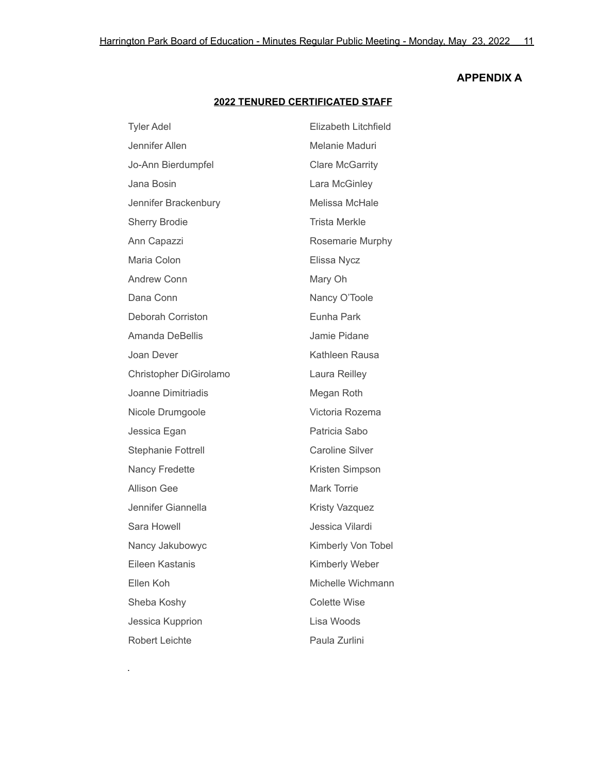# **APPENDIX A**

# **2022 TENURED CERTIFICATED STAFF**

| <b>Tyler Adel</b>         | Elizabeth Litchfield   |
|---------------------------|------------------------|
| Jennifer Allen            | Melanie Maduri         |
| Jo-Ann Bierdumpfel        | <b>Clare McGarrity</b> |
| Jana Bosin                | Lara McGinley          |
| Jennifer Brackenbury      | Melissa McHale         |
| <b>Sherry Brodie</b>      | <b>Trista Merkle</b>   |
| Ann Capazzi               | Rosemarie Murphy       |
| Maria Colon               | Elissa Nycz            |
| <b>Andrew Conn</b>        | Mary Oh                |
| Dana Conn                 | Nancy O'Toole          |
| Deborah Corriston         | Eunha Park             |
| <b>Amanda DeBellis</b>    | Jamie Pidane           |
| Joan Dever                | Kathleen Rausa         |
| Christopher DiGirolamo    | Laura Reilley          |
| Joanne Dimitriadis        | Megan Roth             |
| Nicole Drumgoole          | Victoria Rozema        |
| Jessica Egan              | Patricia Sabo          |
| <b>Stephanie Fottrell</b> | <b>Caroline Silver</b> |
| <b>Nancy Fredette</b>     | Kristen Simpson        |
| <b>Allison Gee</b>        | <b>Mark Torrie</b>     |
| Jennifer Giannella        | Kristy Vazquez         |
| Sara Howell               | Jessica Vilardi        |
| Nancy Jakubowyc           | Kimberly Von Tobel     |
| Eileen Kastanis           | Kimberly Weber         |
| Ellen Koh                 | Michelle Wichmann      |
| Sheba Koshy               | <b>Colette Wise</b>    |
| Jessica Kupprion          | Lisa Woods             |
| Robert Leichte            | Paula Zurlini          |

.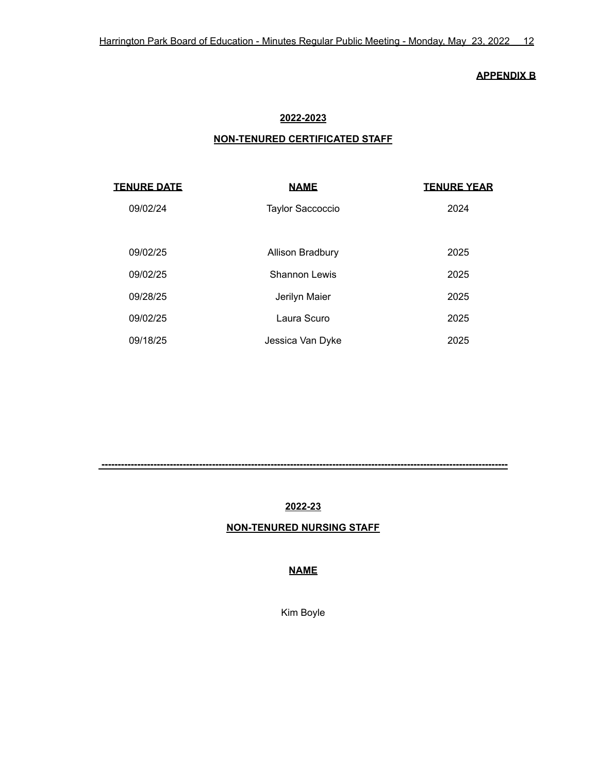## **APPENDIX B**

# **2022-2023**

# **NON-TENURED CERTIFICATED STAFF**

| <b>TENURE DATE</b> | <b>NAME</b>             | <b>TENURE YEAR</b> |
|--------------------|-------------------------|--------------------|
| 09/02/24           | <b>Taylor Saccoccio</b> | 2024               |
|                    |                         |                    |
| 09/02/25           | Allison Bradbury        | 2025               |
| 09/02/25           | Shannon Lewis           | 2025               |
| 09/28/25           | Jerilyn Maier           | 2025               |
| 09/02/25           | Laura Scuro             | 2025               |
| 09/18/25           | Jessica Van Dyke        | 2025               |

# **2022-23**

**-----------------------------------------------------------------------------------------------------------------------------**

# **NON-TENURED NURSING STAFF**

# **NAME**

Kim Boyle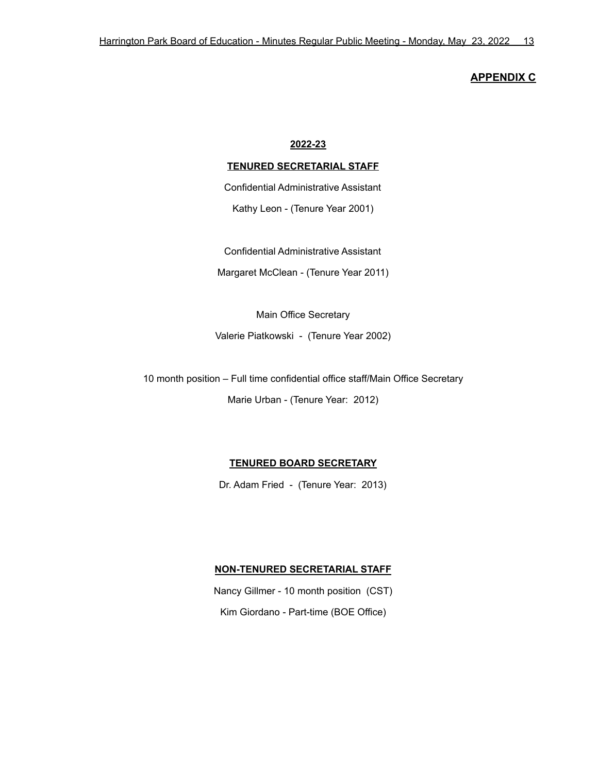## **APPENDIX C**

#### **2022-23**

## **TENURED SECRETARIAL STAFF**

Confidential Administrative Assistant

Kathy Leon - (Tenure Year 2001)

Confidential Administrative Assistant

Margaret McClean - (Tenure Year 2011)

Main Office Secretary

Valerie Piatkowski - (Tenure Year 2002)

10 month position – Full time confidential office staff/Main Office Secretary

Marie Urban - (Tenure Year: 2012)

## **TENURED BOARD SECRETARY**

Dr. Adam Fried - (Tenure Year: 2013)

#### **NON-TENURED SECRETARIAL STAFF**

Nancy Gillmer - 10 month position (CST) Kim Giordano - Part-time (BOE Office)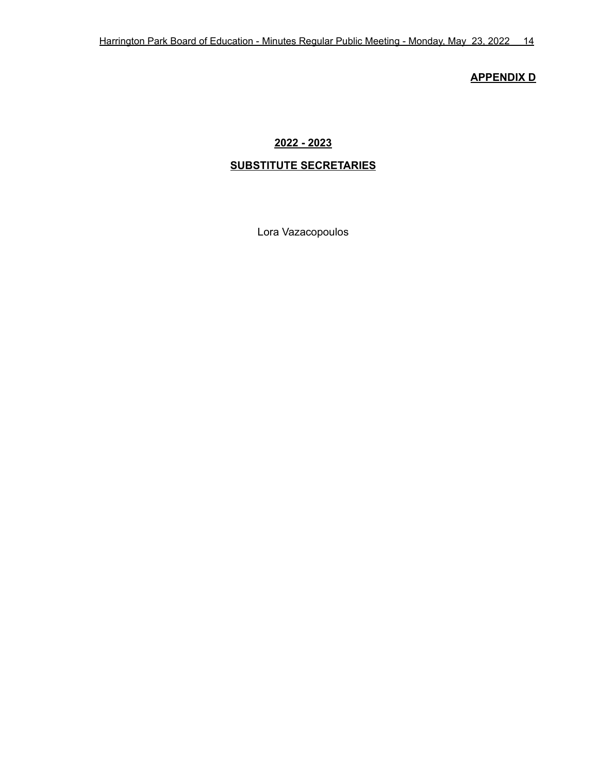# **APPENDIX D**

# **2022 - 2023**

# **SUBSTITUTE SECRETARIES**

Lora Vazacopoulos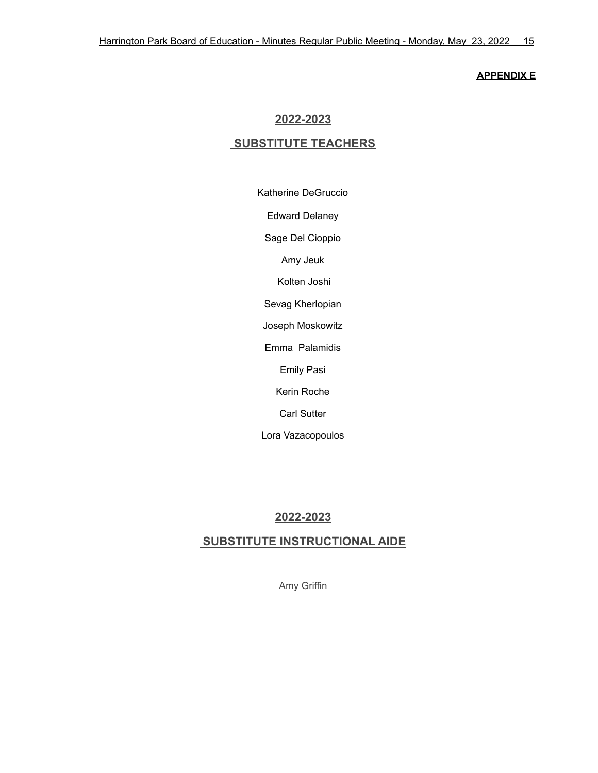#### **APPENDIX E**

# **2022-2023**

# **SUBSTITUTE TEACHERS**

Katherine DeGruccio

Edward Delaney

Sage Del Cioppio

Amy Jeuk

Kolten Joshi

Sevag Kherlopian

Joseph Moskowitz

Emma Palamidis

Emily Pasi

Kerin Roche

Carl Sutter

Lora Vazacopoulos

# **2022-2023**

# **SUBSTITUTE INSTRUCTIONAL AIDE**

Amy Griffin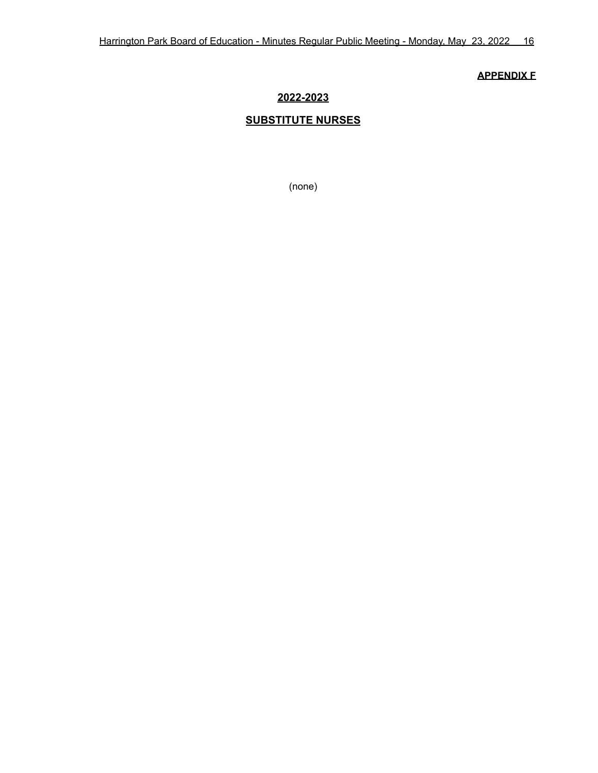## **APPENDIX F**

# **2022-2023**

# **SUBSTITUTE NURSES**

(none)